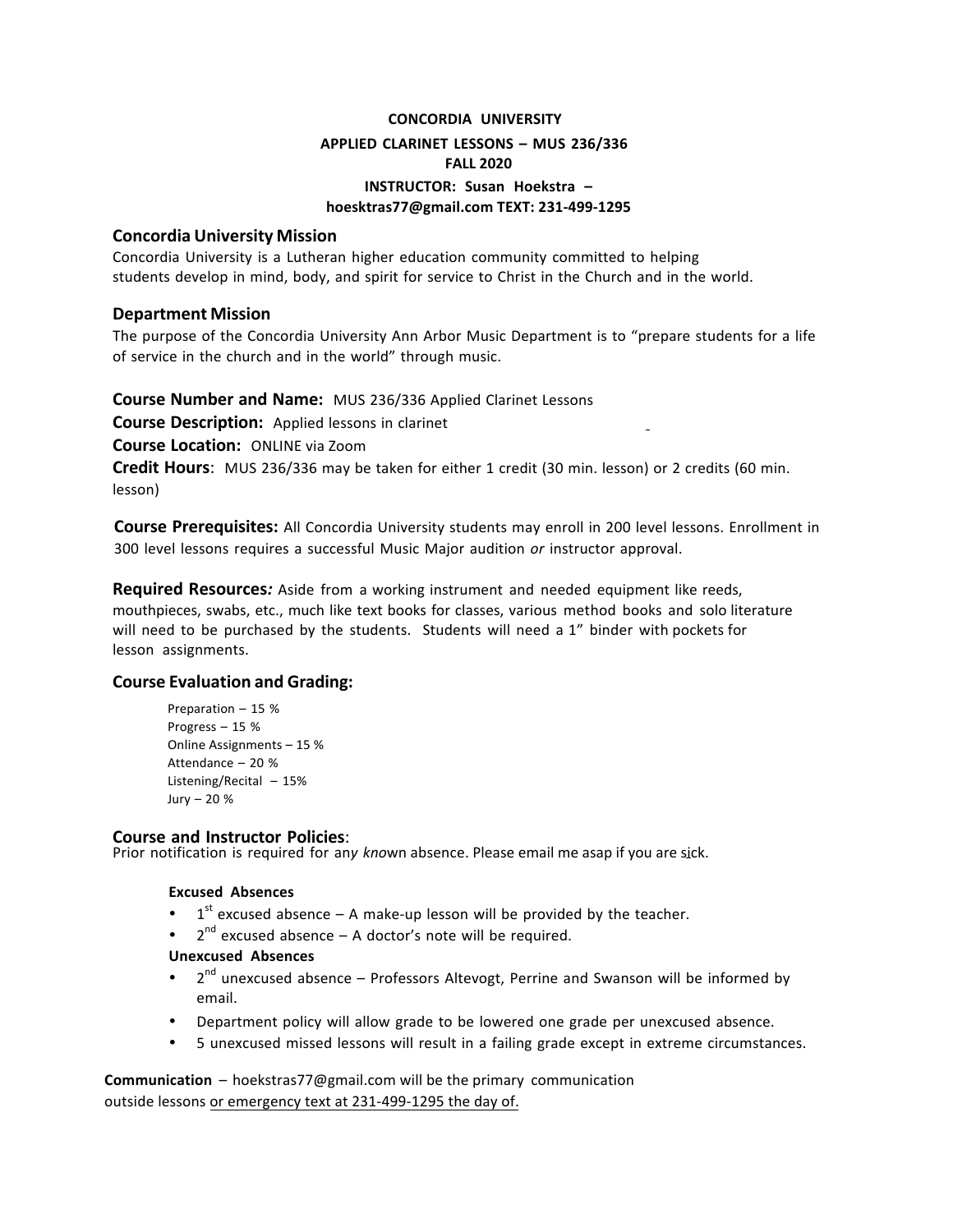# **CONCORDIA UNIVERSITY APPLIED CLARINET LESSONS – MUS 236/336 FALL 2020 INSTRUCTOR: Susan Hoekstra – hoesktras77@gmail.com TEXT: 231-499-1295**

## **Concordia University Mission**

Concordia University is a Lutheran higher education community committed to helping students develop in mind, body, and spirit for service to Christ in the Church and in the world.

## **Department Mission**

The purpose of the Concordia University Ann Arbor Music Department is to "prepare students for a life of service in the church and in the world" through music.

**Course Number and Name:** MUS 236/336 Applied Clarinet Lessons 

**Course Description:** Applied lessons in clarinet

**Course Location:** ONLINE via Zoom 

**Credit Hours:** MUS 236/336 may be taken for either 1 credit (30 min. lesson) or 2 credits (60 min. lesson)

**Course Prerequisites:** All Concordia University students may enroll in 200 level lessons. Enrollment in 300 level lessons requires a successful Music Major audition *or* instructor approval.

**Required Resources:** Aside from a working instrument and needed equipment like reeds, mouthpieces, swabs, etc., much like text books for classes, various method books and solo literature will need to be purchased by the students. Students will need a 1" binder with pockets for lesson assignments.

# **Course Evaluation and Grading:**

Preparation  $-15$  % Progress - 15 % Online Assignments  $-15\%$ Attendance - 20 % Listening/Recital  $-15%$ Jury  $-20$  %

### **Course and Instructor Policies**:

Prior notification is required for an*y kno*wn absence. Please email me asap if you are sick.

### **Excused Absences**

- $1<sup>st</sup>$  excused absence A make-up lesson will be provided by the teacher.
- $2<sup>nd</sup>$  excused absence A doctor's note will be required.

#### **Unexcused Absences**

- $2<sup>nd</sup>$  unexcused absence Professors Altevogt, Perrine and Swanson will be informed by email.
- Department policy will allow grade to be lowered one grade per unexcused absence.
- 5 unexcused missed lessons will result in a failing grade except in extreme circumstances.

**Communication** – hoekstras77@gmail.com will be the primary communication outside lessons or emergency text at 231-499-1295 the day of.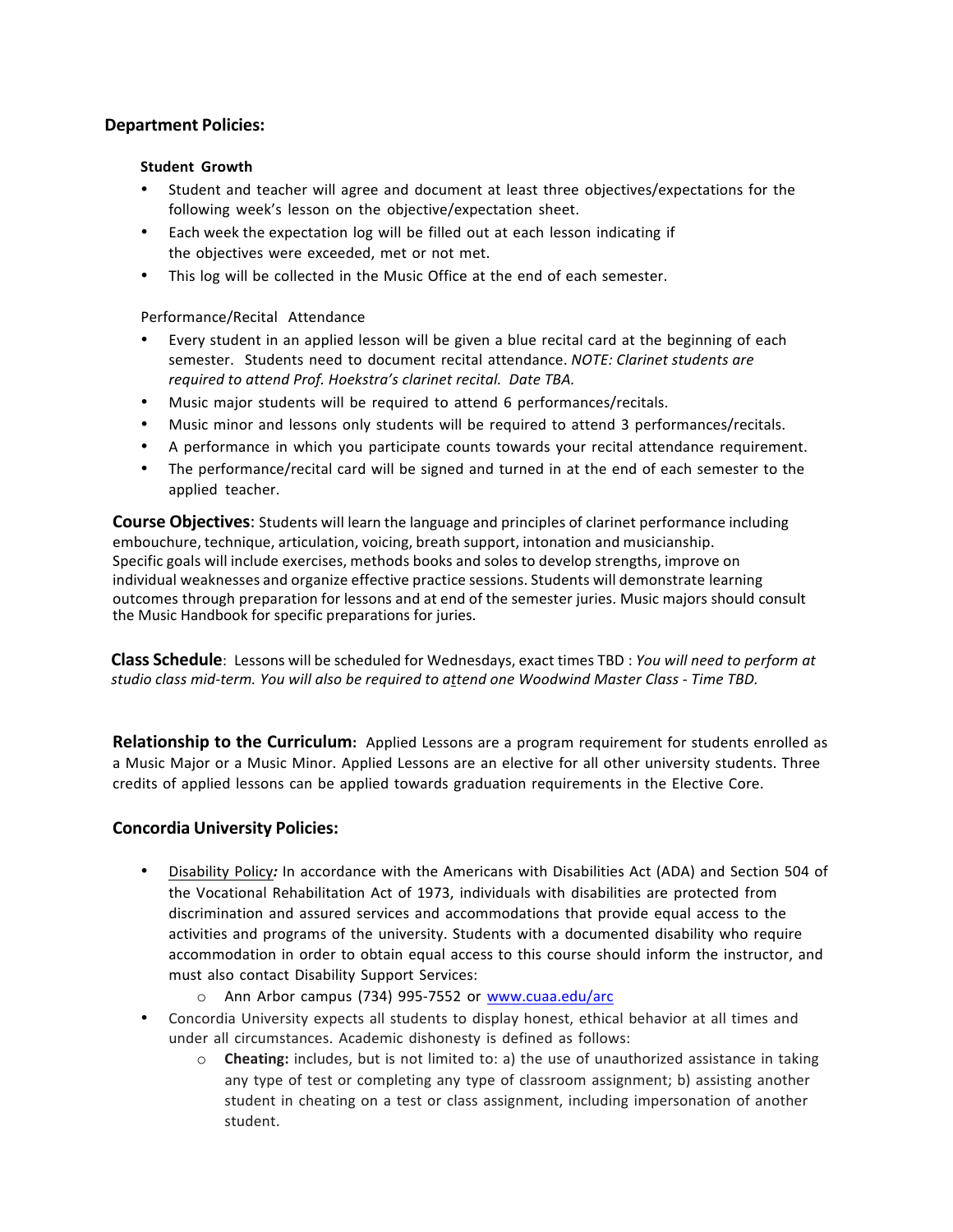## **Department Policies:**

#### **Student Growth**

- Student and teacher will agree and document at least three objectives/expectations for the following week's lesson on the objective/expectation sheet.
- Each week the expectation log will be filled out at each lesson indicating if the objectives were exceeded, met or not met.
- This log will be collected in the Music Office at the end of each semester.

Performance/Recital Attendance

- Every student in an applied lesson will be given a blue recital card at the beginning of each semester. Students need to document recital attendance. *NOTE: Clarinet students are* required to attend Prof. Hoekstra's clarinet recital. Date TBA.
- Music major students will be required to attend 6 performances/recitals.
- Music minor and lessons only students will be required to attend 3 performances/recitals.
- A performance in which you participate counts towards your recital attendance requirement.
- The performance/recital card will be signed and turned in at the end of each semester to the applied teacher.

**Course Objectives:** Students will learn the language and principles of clarinet performance including embouchure, technique, articulation, voicing, breath support, intonation and musicianship. Specific goals will include exercises, methods books and solos to develop strengths, improve on individual weaknesses and organize effective practice sessions. Students will demonstrate learning outcomes through preparation for lessons and at end of the semester juries. Music majors should consult the Music Handbook for specific preparations for juries.

**Class Schedule**: Lessons will be scheduled for Wednesdays, exact times TBD : *You will need to perform at studio class mid-term. You will also be required to attend one Woodwind Master Class - Time TBD.* 

**Relationship to the Curriculum:** Applied Lessons are a program requirement for students enrolled as a Music Major or a Music Minor. Applied Lessons are an elective for all other university students. Three credits of applied lessons can be applied towards graduation requirements in the Elective Core.

### **Concordia University Policies:**

- Disability Policy*:* In accordance with the Americans with Disabilities Act (ADA) and Section 504 of the Vocational Rehabilitation Act of 1973, individuals with disabilities are protected from discrimination and assured services and accommodations that provide equal access to the activities and programs of the university. Students with a documented disability who require accommodation in order to obtain equal access to this course should inform the instructor, and must also contact Disability Support Services:
	- o Ann Arbor campus (734) 995-7552 or www.cuaa.edu/arc
- Concordia University expects all students to display honest, ethical behavior at all times and under all circumstances. Academic dishonesty is defined as follows:
	- o **Cheating:** includes, but is not limited to: a) the use of unauthorized assistance in taking any type of test or completing any type of classroom assignment; b) assisting another student in cheating on a test or class assignment, including impersonation of another student.